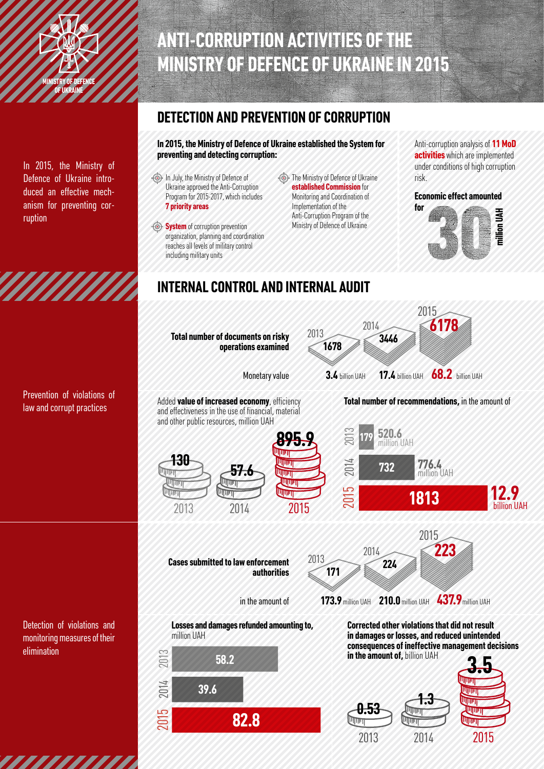

In 2015, the Ministry of Defence of Ukraine introduced an effective mechanism for preventing corruption

*MMMM* 

Prevention of violations of law and corrupt practices

Detection of violations and monitoring measures of their elimination

# **ANTI-CORRUPTION ACTIVITIES OF THE MINISTRY OF DEFENCE OF UKRAINE IN 2015**

### **DETECTION AND PREVENTION OF CORRUPTION**

**In 2015, the Ministry of Defence of Ukraine established the System for preventing and detecting corruption:**

- In July, the Ministry of Defence of Ukraine approved the Anti-Corruption Program for 2015-2017, which includes **7 priority areas**
- **System** of corruption prevention organization, planning and coordination reaches all levels of military control including military units
- **The Ministry of Defence of Ukraine established Commission** for Monitoring and Coordination of Implementation of the Anti-Corruption Program of the Ministry of Defence of Ukraine

Anti-corruption analysis of **11 MoD activities** which are implemented under conditions of high corruption risk.



## **INTERNAL CONTROL AND INTERNAL AUDIT**



Added **value of increased economy**, efficiency and effectiveness in the use of financial, material and other public resources, million UAH



**Cases submitted to law enforcement**

**authorities**

in the amount of

#### **Total number of recommendations,** in the amount of





**Losses and damages refunded amounting to,**  million UAH



**Corrected other violations that did not result in damages or losses, and reduced unintended consequences of ineffective management decisions in the amount of,** billion UAH